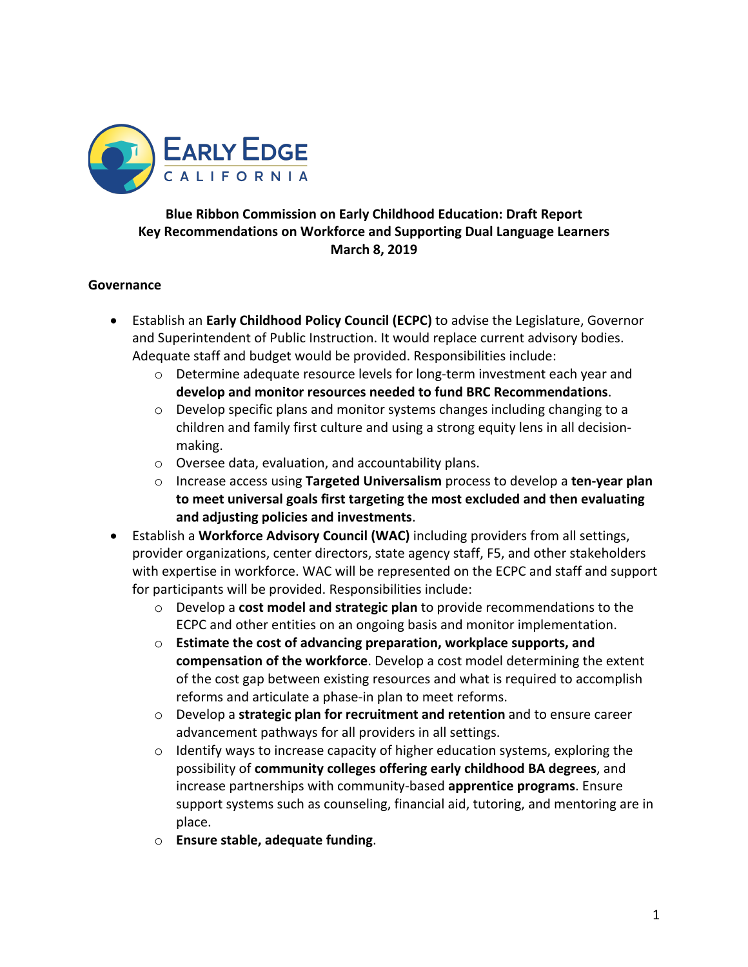

### **Blue Ribbon Commission on Early Childhood Education: Draft Report Key Recommendations on Workforce and Supporting Dual Language Learners March 8, 2019**

#### **Governance**

- Establish an **Early Childhood Policy Council (ECPC)** to advise the Legislature, Governor and Superintendent of Public Instruction. It would replace current advisory bodies. Adequate staff and budget would be provided. Responsibilities include:
	- $\circ$  Determine adequate resource levels for long-term investment each year and **develop and monitor resources needed to fund BRC Recommendations**.
	- o Develop specific plans and monitor systems changes including changing to a children and family first culture and using a strong equity lens in all decisionmaking.
	- o Oversee data, evaluation, and accountability plans.
	- o Increase access using **Targeted Universalism** process to develop a **ten-year plan to meet universal goals first targeting the most excluded and then evaluating and adjusting policies and investments**.
- Establish a **Workforce Advisory Council (WAC)** including providers from all settings, provider organizations, center directors, state agency staff, F5, and other stakeholders with expertise in workforce. WAC will be represented on the ECPC and staff and support for participants will be provided. Responsibilities include:
	- o Develop a **cost model and strategic plan** to provide recommendations to the ECPC and other entities on an ongoing basis and monitor implementation.
	- o **Estimate the cost of advancing preparation, workplace supports, and compensation of the workforce**. Develop a cost model determining the extent of the cost gap between existing resources and what is required to accomplish reforms and articulate a phase-in plan to meet reforms.
	- o Develop a **strategic plan for recruitment and retention** and to ensure career advancement pathways for all providers in all settings.
	- $\circ$  Identify ways to increase capacity of higher education systems, exploring the possibility of **community colleges offering early childhood BA degrees**, and increase partnerships with community-based **apprentice programs**. Ensure support systems such as counseling, financial aid, tutoring, and mentoring are in place.
	- o **Ensure stable, adequate funding**.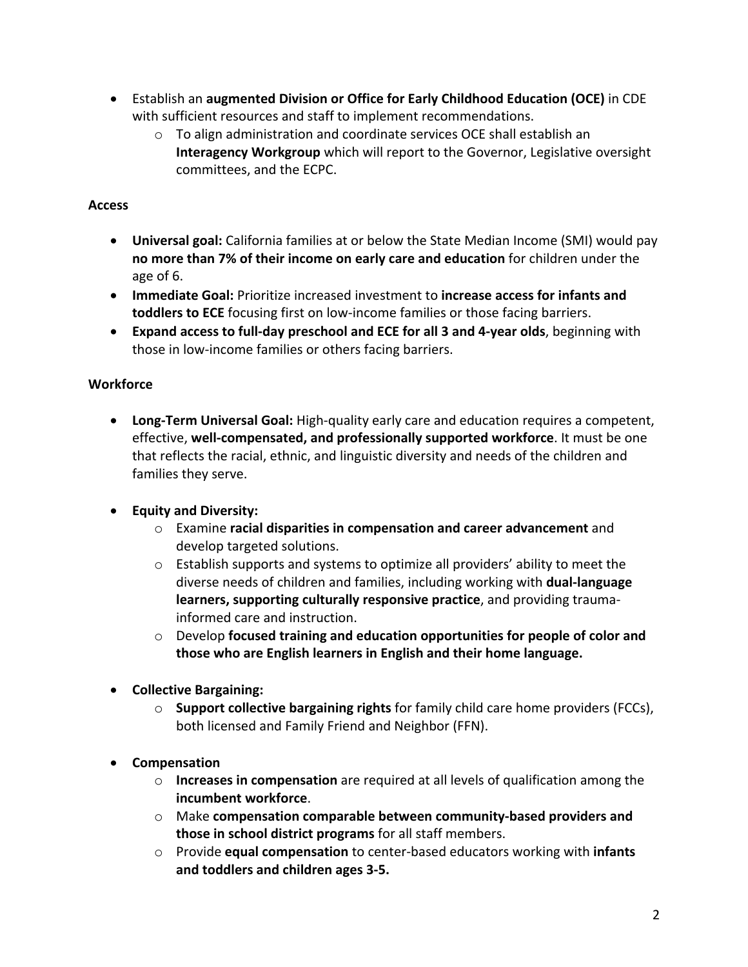- Establish an **augmented Division or Office for Early Childhood Education (OCE)** in CDE with sufficient resources and staff to implement recommendations.
	- o To align administration and coordinate services OCE shall establish an **Interagency Workgroup** which will report to the Governor, Legislative oversight committees, and the ECPC.

### **Access**

- **Universal goal:** California families at or below the State Median Income (SMI) would pay **no more than 7% of their income on early care and education** for children under the age of 6.
- **Immediate Goal:** Prioritize increased investment to **increase access for infants and toddlers to ECE** focusing first on low-income families or those facing barriers.
- **Expand access to full-day preschool and ECE for all 3 and 4-year olds**, beginning with those in low-income families or others facing barriers.

### **Workforce**

• **Long-Term Universal Goal:** High-quality early care and education requires a competent, effective, **well-compensated, and professionally supported workforce**. It must be one that reflects the racial, ethnic, and linguistic diversity and needs of the children and families they serve.

# • **Equity and Diversity:**

- o Examine **racial disparities in compensation and career advancement** and develop targeted solutions.
- o Establish supports and systems to optimize all providers' ability to meet the diverse needs of children and families, including working with **dual-language learners, supporting culturally responsive practice**, and providing traumainformed care and instruction.
- o Develop **focused training and education opportunities for people of color and those who are English learners in English and their home language.**
- **Collective Bargaining:**
	- o **Support collective bargaining rights** for family child care home providers (FCCs), both licensed and Family Friend and Neighbor (FFN).
- **Compensation**
	- o **Increases in compensation** are required at all levels of qualification among the **incumbent workforce**.
	- o Make **compensation comparable between community-based providers and those in school district programs** for all staff members.
	- o Provide **equal compensation** to center-based educators working with **infants and toddlers and children ages 3-5.**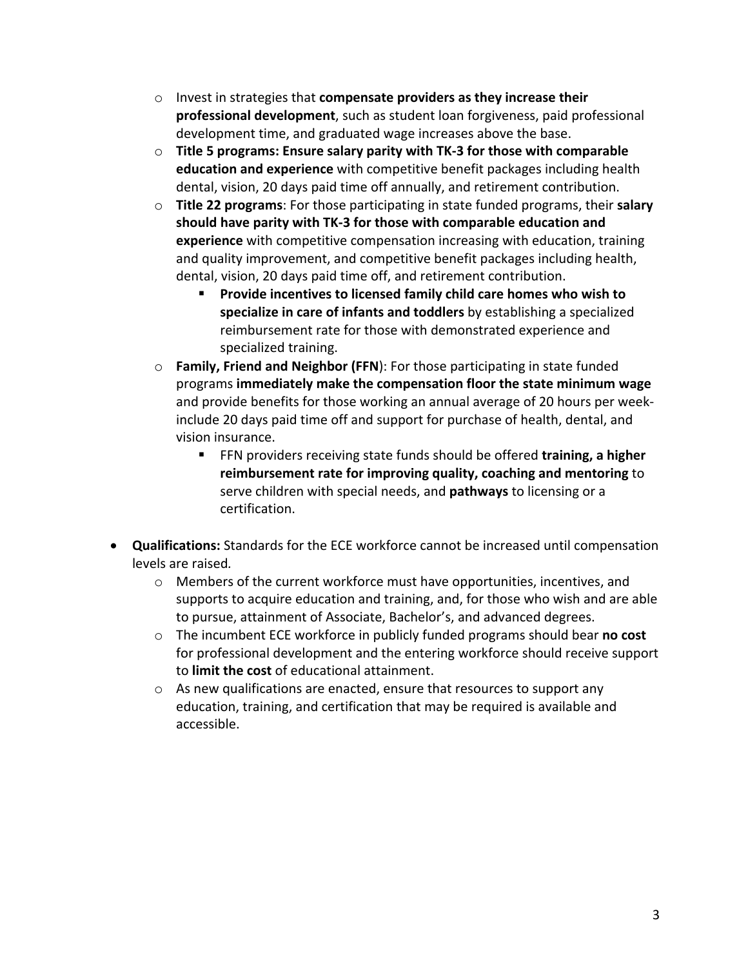- o Invest in strategies that **compensate providers as they increase their professional development**, such as student loan forgiveness, paid professional development time, and graduated wage increases above the base.
- o **Title 5 programs: Ensure salary parity with TK-3 for those with comparable education and experience** with competitive benefit packages including health dental, vision, 20 days paid time off annually, and retirement contribution.
- o **Title 22 programs**: For those participating in state funded programs, their **salary should have parity with TK-3 for those with comparable education and experience** with competitive compensation increasing with education, training and quality improvement, and competitive benefit packages including health, dental, vision, 20 days paid time off, and retirement contribution.
	- § **Provide incentives to licensed family child care homes who wish to specialize in care of infants and toddlers** by establishing a specialized reimbursement rate for those with demonstrated experience and specialized training.
- o **Family, Friend and Neighbor (FFN**): For those participating in state funded programs **immediately make the compensation floor the state minimum wage** and provide benefits for those working an annual average of 20 hours per weekinclude 20 days paid time off and support for purchase of health, dental, and vision insurance.
	- FFN providers receiving state funds should be offered **training, a higher reimbursement rate for improving quality, coaching and mentoring** to serve children with special needs, and **pathways** to licensing or a certification.
- **Qualifications:** Standards for the ECE workforce cannot be increased until compensation levels are raised*.*
	- o Members of the current workforce must have opportunities, incentives, and supports to acquire education and training, and, for those who wish and are able to pursue, attainment of Associate, Bachelor's, and advanced degrees.
	- o The incumbent ECE workforce in publicly funded programs should bear **no cost** for professional development and the entering workforce should receive support to **limit the cost** of educational attainment.
	- o As new qualifications are enacted, ensure that resources to support any education, training, and certification that may be required is available and accessible.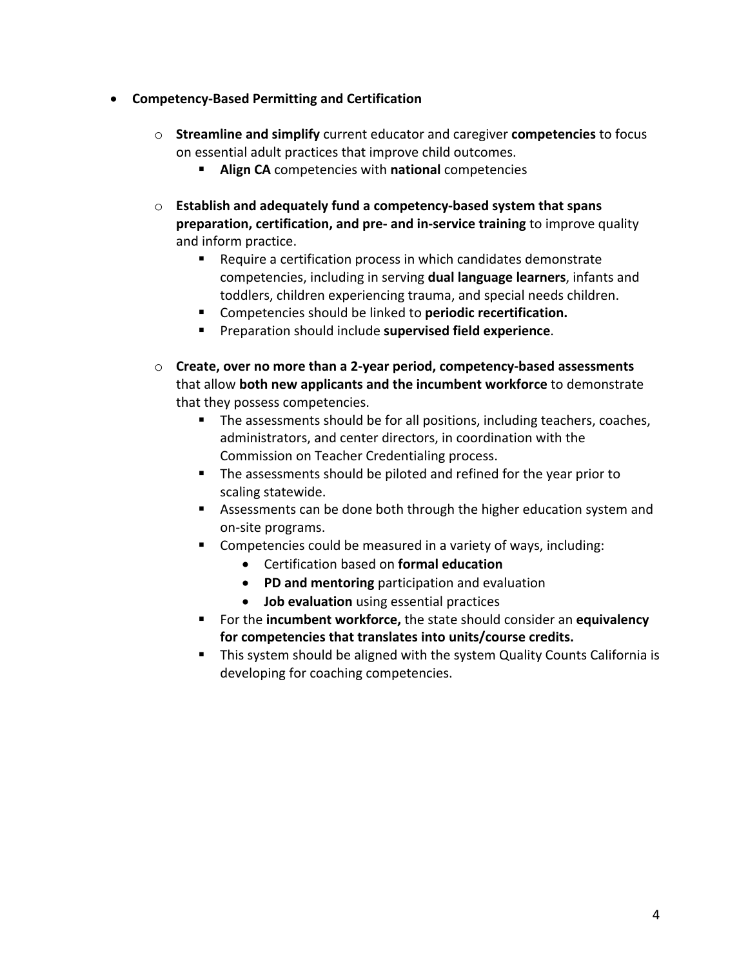- **Competency-Based Permitting and Certification**
	- o **Streamline and simplify** current educator and caregiver **competencies** to focus on essential adult practices that improve child outcomes.
		- § **Align CA** competencies with **national** competencies
	- o **Establish and adequately fund a competency-based system that spans preparation, certification, and pre- and in-service training** to improve quality and inform practice.
		- Require a certification process in which candidates demonstrate competencies, including in serving **dual language learners**, infants and toddlers, children experiencing trauma, and special needs children.
		- § Competencies should be linked to **periodic recertification.**
		- § Preparation should include **supervised field experience**.
	- o **Create, over no more than a 2-year period, competency-based assessments** that allow **both new applicants and the incumbent workforce** to demonstrate that they possess competencies.
		- The assessments should be for all positions, including teachers, coaches, administrators, and center directors, in coordination with the Commission on Teacher Credentialing process.
		- § The assessments should be piloted and refined for the year prior to scaling statewide.
		- Assessments can be done both through the higher education system and on-site programs.
		- Competencies could be measured in a variety of ways, including:
			- Certification based on **formal education**
			- **PD and mentoring** participation and evaluation
			- **Job evaluation** using essential practices
		- § For the **incumbent workforce,** the state should consider an **equivalency for competencies that translates into units/course credits.**
		- **•** This system should be aligned with the system Quality Counts California is developing for coaching competencies.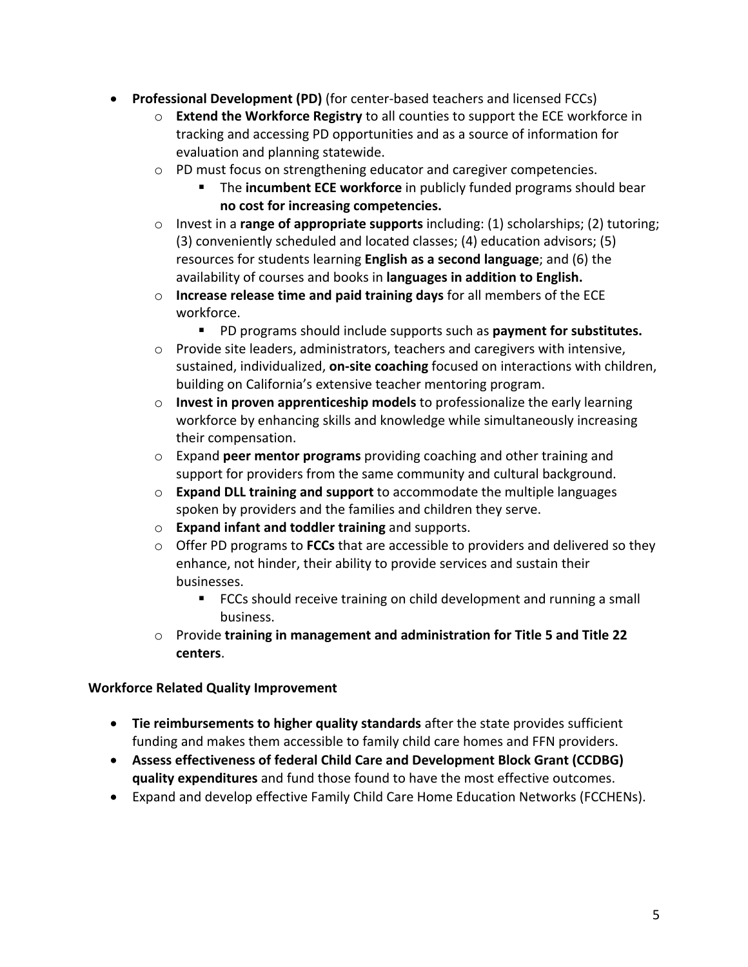- **Professional Development (PD)** (for center-based teachers and licensed FCCs)
	- o **Extend the Workforce Registry** to all counties to support the ECE workforce in tracking and accessing PD opportunities and as a source of information for evaluation and planning statewide.
	- o PD must focus on strengthening educator and caregiver competencies.
		- § The **incumbent ECE workforce** in publicly funded programs should bear **no cost for increasing competencies.**
	- o Invest in a **range of appropriate supports** including: (1) scholarships; (2) tutoring; (3) conveniently scheduled and located classes; (4) education advisors; (5) resources for students learning **English as a second language**; and (6) the availability of courses and books in **languages in addition to English.**
	- o **Increase release time and paid training days** for all members of the ECE workforce.
		- PD programs should include supports such as **payment for substitutes.**
	- o Provide site leaders, administrators, teachers and caregivers with intensive, sustained, individualized, **on-site coaching** focused on interactions with children, building on California's extensive teacher mentoring program.
	- o **Invest in proven apprenticeship models** to professionalize the early learning workforce by enhancing skills and knowledge while simultaneously increasing their compensation.
	- o Expand **peer mentor programs** providing coaching and other training and support for providers from the same community and cultural background.
	- o **Expand DLL training and support** to accommodate the multiple languages spoken by providers and the families and children they serve.
	- o **Expand infant and toddler training** and supports.
	- o Offer PD programs to **FCCs** that are accessible to providers and delivered so they enhance, not hinder, their ability to provide services and sustain their businesses.
		- FCCs should receive training on child development and running a small business.
	- o Provide **training in management and administration for Title 5 and Title 22 centers**.

#### **Workforce Related Quality Improvement**

- **Tie reimbursements to higher quality standards** after the state provides sufficient funding and makes them accessible to family child care homes and FFN providers.
- **Assess effectiveness of federal Child Care and Development Block Grant (CCDBG) quality expenditures** and fund those found to have the most effective outcomes.
- Expand and develop effective Family Child Care Home Education Networks (FCCHENs).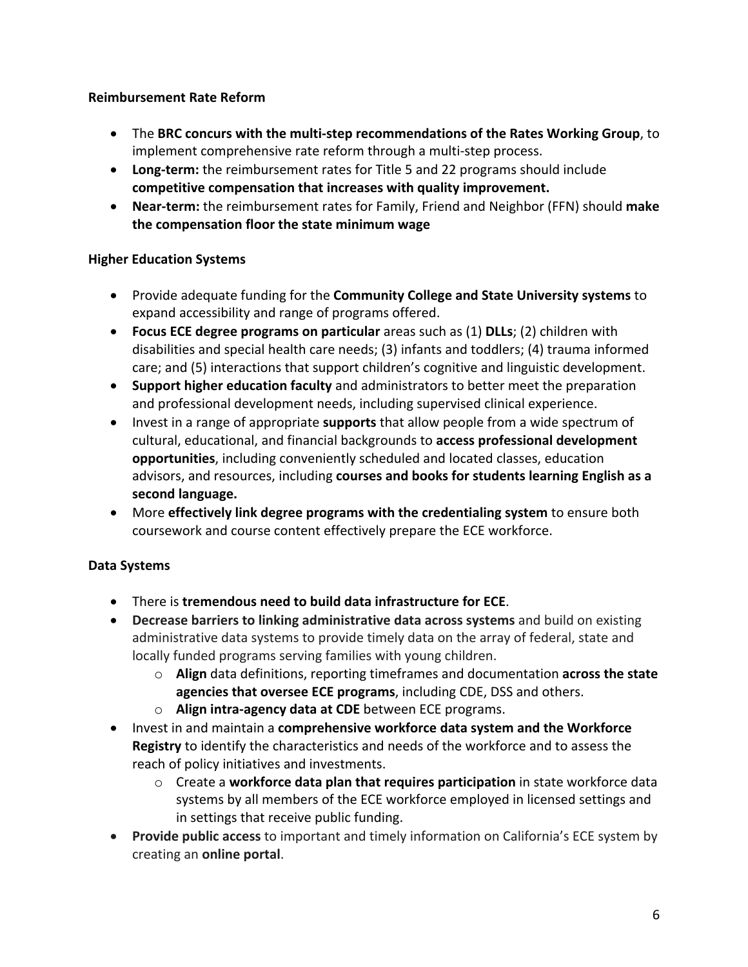#### **Reimbursement Rate Reform**

- The **BRC concurs with the multi-step recommendations of the Rates Working Group**, to implement comprehensive rate reform through a multi-step process.
- **Long-term:** the reimbursement rates for Title 5 and 22 programs should include **competitive compensation that increases with quality improvement.**
- **Near-term:** the reimbursement rates for Family, Friend and Neighbor (FFN) should **make the compensation floor the state minimum wage**

### **Higher Education Systems**

- Provide adequate funding for the **Community College and State University systems** to expand accessibility and range of programs offered.
- **Focus ECE degree programs on particular** areas such as (1) **DLLs**; (2) children with disabilities and special health care needs; (3) infants and toddlers; (4) trauma informed care; and (5) interactions that support children's cognitive and linguistic development.
- **Support higher education faculty** and administrators to better meet the preparation and professional development needs, including supervised clinical experience.
- Invest in a range of appropriate **supports** that allow people from a wide spectrum of cultural, educational, and financial backgrounds to **access professional development opportunities**, including conveniently scheduled and located classes, education advisors, and resources, including **courses and books for students learning English as a second language.**
- More **effectively link degree programs with the credentialing system** to ensure both coursework and course content effectively prepare the ECE workforce.

# **Data Systems**

- There is **tremendous need to build data infrastructure for ECE**.
- **Decrease barriers to linking administrative data across systems** and build on existing administrative data systems to provide timely data on the array of federal, state and locally funded programs serving families with young children.
	- o **Align** data definitions, reporting timeframes and documentation **across the state agencies that oversee ECE programs**, including CDE, DSS and others.
	- o **Align intra-agency data at CDE** between ECE programs.
- Invest in and maintain a **comprehensive workforce data system and the Workforce Registry** to identify the characteristics and needs of the workforce and to assess the reach of policy initiatives and investments.
	- o Create a **workforce data plan that requires participation** in state workforce data systems by all members of the ECE workforce employed in licensed settings and in settings that receive public funding.
- **Provide public access** to important and timely information on California's ECE system by creating an **online portal**.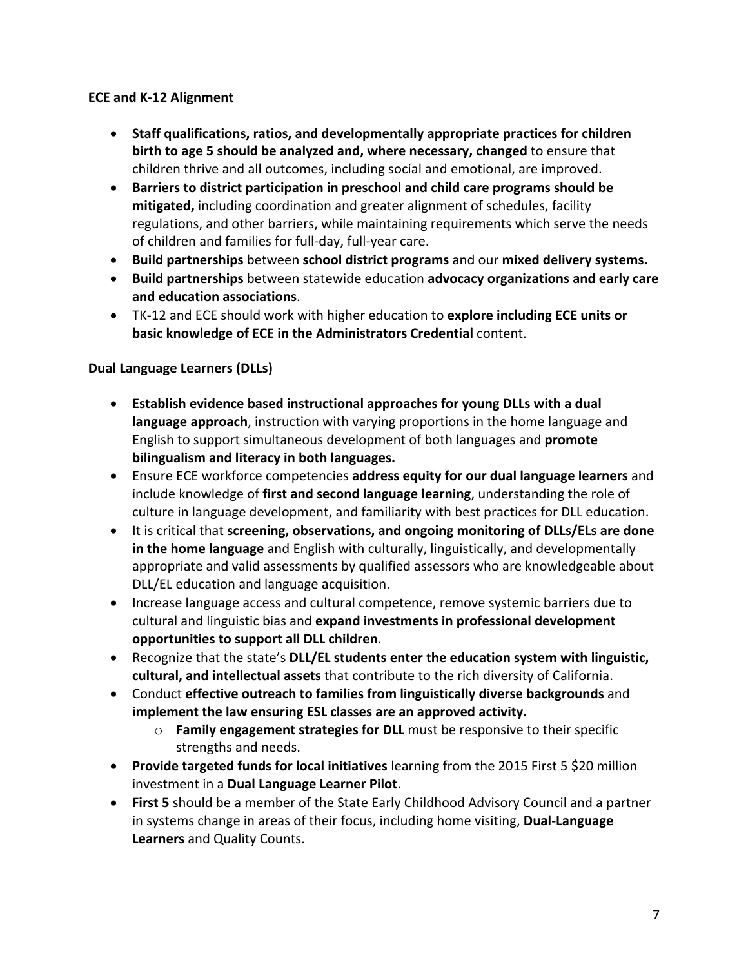#### **ECE and K-12 Alignment**

- **Staff qualifications, ratios, and developmentally appropriate practices for children birth to age 5 should be analyzed and, where necessary, changed** to ensure that children thrive and all outcomes, including social and emotional, are improved.
- **Barriers to district participation in preschool and child care programs should be mitigated,** including coordination and greater alignment of schedules, facility regulations, and other barriers, while maintaining requirements which serve the needs of children and families for full-day, full-year care.
- **Build partnerships** between **school district programs** and our **mixed delivery systems.**
- **Build partnerships** between statewide education **advocacy organizations and early care and education associations**.
- TK-12 and ECE should work with higher education to **explore including ECE units or basic knowledge of ECE in the Administrators Credential** content.

### **Dual Language Learners (DLLs)**

- **Establish evidence based instructional approaches for young DLLs with a dual language approach**, instruction with varying proportions in the home language and English to support simultaneous development of both languages and **promote bilingualism and literacy in both languages.**
- Ensure ECE workforce competencies **address equity for our dual language learners** and include knowledge of **first and second language learning**, understanding the role of culture in language development, and familiarity with best practices for DLL education.
- It is critical that **screening, observations, and ongoing monitoring of DLLs/ELs are done in the home language** and English with culturally, linguistically, and developmentally appropriate and valid assessments by qualified assessors who are knowledgeable about DLL/EL education and language acquisition.
- Increase language access and cultural competence, remove systemic barriers due to cultural and linguistic bias and **expand investments in professional development opportunities to support all DLL children**.
- Recognize that the state's **DLL/EL students enter the education system with linguistic, cultural, and intellectual assets** that contribute to the rich diversity of California.
- Conduct **effective outreach to families from linguistically diverse backgrounds** and **implement the law ensuring ESL classes are an approved activity.**
	- o **Family engagement strategies for DLL** must be responsive to their specific strengths and needs.
- **Provide targeted funds for local initiatives** learning from the 2015 First 5 \$20 million investment in a **Dual Language Learner Pilot**.
- **First 5** should be a member of the State Early Childhood Advisory Council and a partner in systems change in areas of their focus, including home visiting, **Dual-Language Learners** and Quality Counts.